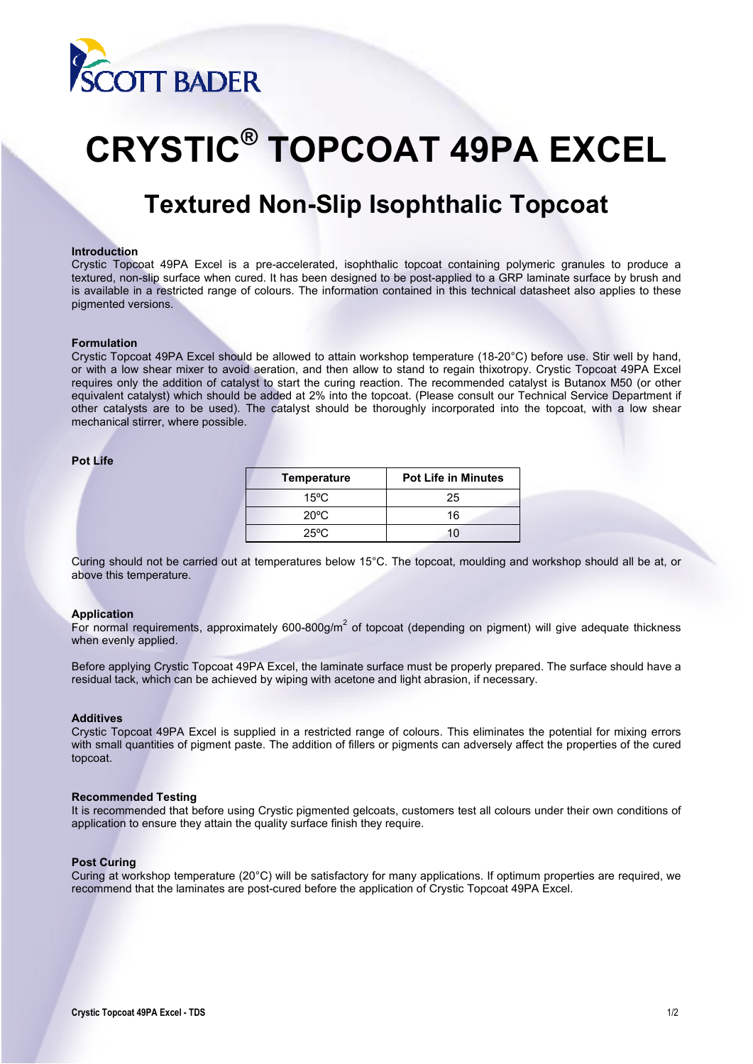

# **CRYSTIC® TOPCOAT 49PA EXCEL**

# **Textured Non-Slip Isophthalic Topcoat**

#### **Introduction**

Crystic Topcoat 49PA Excel is a pre-accelerated, isophthalic topcoat containing polymeric granules to produce a textured, non-slip surface when cured. It has been designed to be post-applied to a GRP laminate surface by brush and is available in a restricted range of colours. The information contained in this technical datasheet also applies to these pigmented versions.

#### **Formulation**

Crystic Topcoat 49PA Excel should be allowed to attain workshop temperature (18-20°C) before use. Stir well by hand, or with a low shear mixer to avoid aeration, and then allow to stand to regain thixotropy. Crystic Topcoat 49PA Excel requires only the addition of catalyst to start the curing reaction. The recommended catalyst is Butanox M50 (or other equivalent catalyst) which should be added at 2% into the topcoat. (Please consult our Technical Service Department if other catalysts are to be used). The catalyst should be thoroughly incorporated into the topcoat, with a low shear mechanical stirrer, where possible.

#### **Pot Life**

| <b>Temperature</b> | <b>Pot Life in Minutes</b> |  |
|--------------------|----------------------------|--|
| $15^{\circ}$ C     | 25                         |  |
| $20^{\circ}$ C     | 16                         |  |
| $25^{\circ}$ C     | 10                         |  |

Curing should not be carried out at temperatures below 15°C. The topcoat, moulding and workshop should all be at, or above this temperature.

### **Application**

For normal requirements, approximately 600-800g/m<sup>2</sup> of topcoat (depending on pigment) will give adequate thickness when evenly applied.

Before applying Crystic Topcoat 49PA Excel, the laminate surface must be properly prepared. The surface should have a residual tack, which can be achieved by wiping with acetone and light abrasion, if necessary.

#### **Additives**

Crystic Topcoat 49PA Excel is supplied in a restricted range of colours. This eliminates the potential for mixing errors with small quantities of pigment paste. The addition of fillers or pigments can adversely affect the properties of the cured topcoat.

#### **Recommended Testing**

It is recommended that before using Crystic pigmented gelcoats, customers test all colours under their own conditions of application to ensure they attain the quality surface finish they require.

#### **Post Curing**

Curing at workshop temperature (20°C) will be satisfactory for many applications. If optimum properties are required, we recommend that the laminates are post-cured before the application of Crystic Topcoat 49PA Excel.